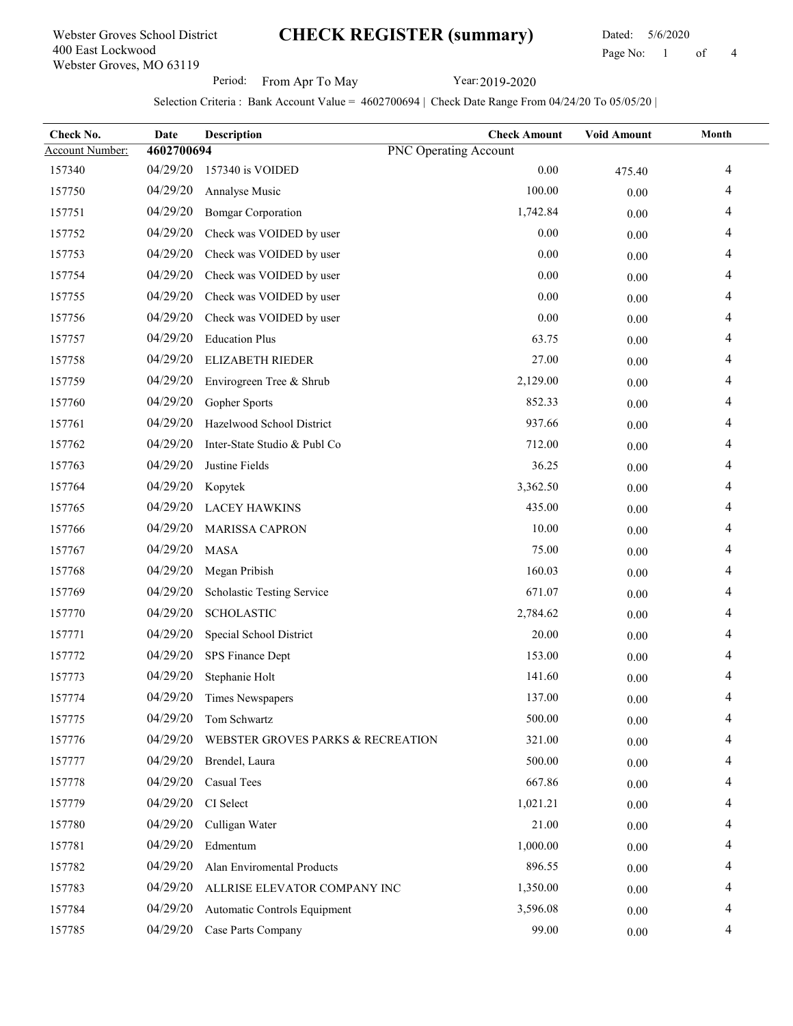### Webster Groves, MO 63119 400 East Lockwood Webster Groves School District

# CHECK REGISTER (summary)

 Dated: 5/6/2020 Page No: 1 of

Period: From Apr To May Year: 2019-2020

| Check No.              | Date       | Description                       | <b>Check Amount</b>          | <b>Void Amount</b> | Month |
|------------------------|------------|-----------------------------------|------------------------------|--------------------|-------|
| <b>Account Number:</b> | 4602700694 |                                   | <b>PNC Operating Account</b> |                    |       |
| 157340                 | 04/29/20   | 157340 is VOIDED                  | $0.00\,$                     | 475.40             | 4     |
| 157750                 | 04/29/20   | Annalyse Music                    | 100.00                       | 0.00               | 4     |
| 157751                 | 04/29/20   | <b>Bomgar Corporation</b>         | 1,742.84                     | 0.00               | 4     |
| 157752                 | 04/29/20   | Check was VOIDED by user          | $0.00\,$                     | 0.00               | 4     |
| 157753                 | 04/29/20   | Check was VOIDED by user          | 0.00                         | 0.00               | 4     |
| 157754                 | 04/29/20   | Check was VOIDED by user          | $0.00\,$                     | 0.00               | 4     |
| 157755                 | 04/29/20   | Check was VOIDED by user          | 0.00                         | 0.00               | 4     |
| 157756                 | 04/29/20   | Check was VOIDED by user          | 0.00                         | 0.00               | 4     |
| 157757                 | 04/29/20   | <b>Education Plus</b>             | 63.75                        | 0.00               | 4     |
| 157758                 | 04/29/20   | ELIZABETH RIEDER                  | 27.00                        | 0.00               | 4     |
| 157759                 | 04/29/20   | Envirogreen Tree & Shrub          | 2,129.00                     | 0.00               | 4     |
| 157760                 | 04/29/20   | Gopher Sports                     | 852.33                       | 0.00               | 4     |
| 157761                 | 04/29/20   | Hazelwood School District         | 937.66                       | 0.00               | 4     |
| 157762                 | 04/29/20   | Inter-State Studio & Publ Co      | 712.00                       | 0.00               | 4     |
| 157763                 | 04/29/20   | Justine Fields                    | 36.25                        | 0.00               | 4     |
| 157764                 | 04/29/20   | Kopytek                           | 3,362.50                     | 0.00               | 4     |
| 157765                 | 04/29/20   | <b>LACEY HAWKINS</b>              | 435.00                       | 0.00               | 4     |
| 157766                 | 04/29/20   | <b>MARISSA CAPRON</b>             | 10.00                        | 0.00               | 4     |
| 157767                 | 04/29/20   | <b>MASA</b>                       | 75.00                        | 0.00               | 4     |
| 157768                 | 04/29/20   | Megan Pribish                     | 160.03                       | 0.00               | 4     |
| 157769                 | 04/29/20   | Scholastic Testing Service        | 671.07                       | 0.00               | 4     |
| 157770                 | 04/29/20   | <b>SCHOLASTIC</b>                 | 2,784.62                     | 0.00               | 4     |
| 157771                 | 04/29/20   | Special School District           | 20.00                        | 0.00               | 4     |
| 157772                 | 04/29/20   | SPS Finance Dept                  | 153.00                       | 0.00               | 4     |
| 157773                 | 04/29/20   | Stephanie Holt                    | 141.60                       | 0.00               | 4     |
| 157774                 | 04/29/20   | Times Newspapers                  | 137.00                       | 0.00               | 4     |
| 157775                 | 04/29/20   | Tom Schwartz                      | 500.00                       | 0.00               | 4     |
| 157776                 | 04/29/20   | WEBSTER GROVES PARKS & RECREATION | 321.00                       | 0.00               | 4     |
| 157777                 | 04/29/20   | Brendel, Laura                    | 500.00                       | 0.00               | 4     |
| 157778                 | 04/29/20   | Casual Tees                       | 667.86                       | 0.00               | 4     |
| 157779                 | 04/29/20   | CI Select                         | 1,021.21                     | 0.00               | 4     |
| 157780                 | 04/29/20   | Culligan Water                    | 21.00                        | 0.00               | 4     |
| 157781                 | 04/29/20   | Edmentum                          | 1,000.00                     | 0.00               | 4     |
| 157782                 | 04/29/20   | Alan Enviromental Products        | 896.55                       | 0.00               | 4     |
| 157783                 | 04/29/20   | ALLRISE ELEVATOR COMPANY INC      | 1,350.00                     | 0.00               |       |
| 157784                 | 04/29/20   | Automatic Controls Equipment      | 3,596.08                     | 0.00               | 4     |
| 157785                 | 04/29/20   | Case Parts Company                | 99.00                        | 0.00               | 4     |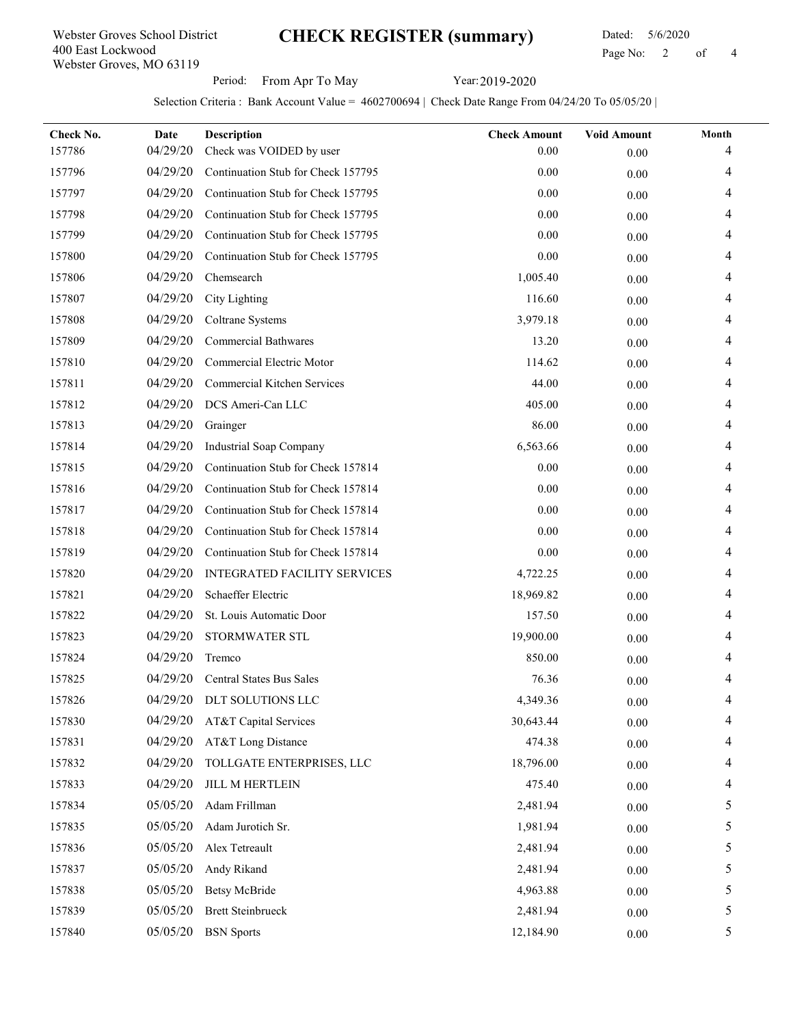## CHECK REGISTER (summary)

Webster Groves, MO 63119 400 East Lockwood Webster Groves School District

#### Dated: 5/6/2020 Page No: 2 of

Period: From Apr To May Year: 2019-2020

| Check No.<br>157786 | Date<br>04/29/20 | <b>Description</b><br>Check was VOIDED by user | <b>Check Amount</b><br>0.00 | <b>Void Amount</b><br>0.00 | Month<br>4 |
|---------------------|------------------|------------------------------------------------|-----------------------------|----------------------------|------------|
| 157796              | 04/29/20         | Continuation Stub for Check 157795             | 0.00                        | 0.00                       | 4          |
| 157797              | 04/29/20         | Continuation Stub for Check 157795             | 0.00                        | 0.00                       | 4          |
| 157798              | 04/29/20         | Continuation Stub for Check 157795             | 0.00                        | 0.00                       | 4          |
| 157799              | 04/29/20         | Continuation Stub for Check 157795             | 0.00                        | 0.00                       | 4          |
| 157800              | 04/29/20         | Continuation Stub for Check 157795             | 0.00                        | 0.00                       | 4          |
| 157806              | 04/29/20         | Chemsearch                                     | 1,005.40                    | 0.00                       | 4          |
| 157807              | 04/29/20         | City Lighting                                  | 116.60                      | 0.00                       | 4          |
| 157808              | 04/29/20         | Coltrane Systems                               | 3,979.18                    | 0.00                       | 4          |
| 157809              | 04/29/20         | <b>Commercial Bathwares</b>                    | 13.20                       | 0.00                       | 4          |
| 157810              | 04/29/20         | Commercial Electric Motor                      | 114.62                      | 0.00                       |            |
| 157811              | 04/29/20         | Commercial Kitchen Services                    | 44.00                       | 0.00                       | 4          |
| 157812              | 04/29/20         | DCS Ameri-Can LLC                              | 405.00                      | 0.00                       | 4          |
| 157813              | 04/29/20         | Grainger                                       | 86.00                       | 0.00                       | 4          |
| 157814              | 04/29/20         | <b>Industrial Soap Company</b>                 | 6,563.66                    | 0.00                       | 4          |
| 157815              | 04/29/20         | Continuation Stub for Check 157814             | 0.00                        | 0.00                       | 4          |
| 157816              | 04/29/20         | Continuation Stub for Check 157814             | 0.00                        | 0.00                       | 4          |
| 157817              | 04/29/20         | Continuation Stub for Check 157814             | 0.00                        | 0.00                       |            |
| 157818              | 04/29/20         | Continuation Stub for Check 157814             | 0.00                        | 0.00                       | 4          |
| 157819              | 04/29/20         | Continuation Stub for Check 157814             | $0.00\,$                    | 0.00                       | 4          |
| 157820              | 04/29/20         | <b>INTEGRATED FACILITY SERVICES</b>            | 4,722.25                    | 0.00                       | 4          |
| 157821              | 04/29/20         | Schaeffer Electric                             | 18,969.82                   | 0.00                       | 4          |
| 157822              | 04/29/20         | St. Louis Automatic Door                       | 157.50                      | 0.00                       | 4          |
| 157823              | 04/29/20         | STORMWATER STL                                 | 19,900.00                   | 0.00                       | 4          |
| 157824              | 04/29/20         | Tremco                                         | 850.00                      | 0.00                       |            |
| 157825              | 04/29/20         | Central States Bus Sales                       | 76.36                       | 0.00                       |            |
| 157826              |                  | 04/29/20 DLT SOLUTIONS LLC                     | 4,349.36                    | $0.00\,$                   | 4          |
| 157830              | 04/29/20         | AT&T Capital Services                          | 30,643.44                   | 0.00                       | 4          |
| 157831              | 04/29/20         | AT&T Long Distance                             | 474.38                      | $0.00\,$                   | 4          |
| 157832              | 04/29/20         | TOLLGATE ENTERPRISES, LLC                      | 18,796.00                   | 0.00                       | 4          |
| 157833              | 04/29/20         | <b>JILL M HERTLEIN</b>                         | 475.40                      | $0.00\,$                   | 4          |
| 157834              | 05/05/20         | Adam Frillman                                  | 2,481.94                    | $0.00\,$                   | 5          |
| 157835              | 05/05/20         | Adam Jurotich Sr.                              | 1,981.94                    | $0.00\,$                   | 5          |
| 157836              | 05/05/20         | Alex Tetreault                                 | 2,481.94                    | $0.00\,$                   | 5          |
| 157837              | 05/05/20         | Andy Rikand                                    | 2,481.94                    | 0.00                       | 5          |
| 157838              | 05/05/20         | <b>Betsy McBride</b>                           | 4,963.88                    | 0.00                       | 5          |
| 157839              | 05/05/20         | <b>Brett Steinbrueck</b>                       | 2,481.94                    | 0.00                       | 5          |
| 157840              | 05/05/20         | <b>BSN</b> Sports                              | 12,184.90                   | $0.00\,$                   | 5          |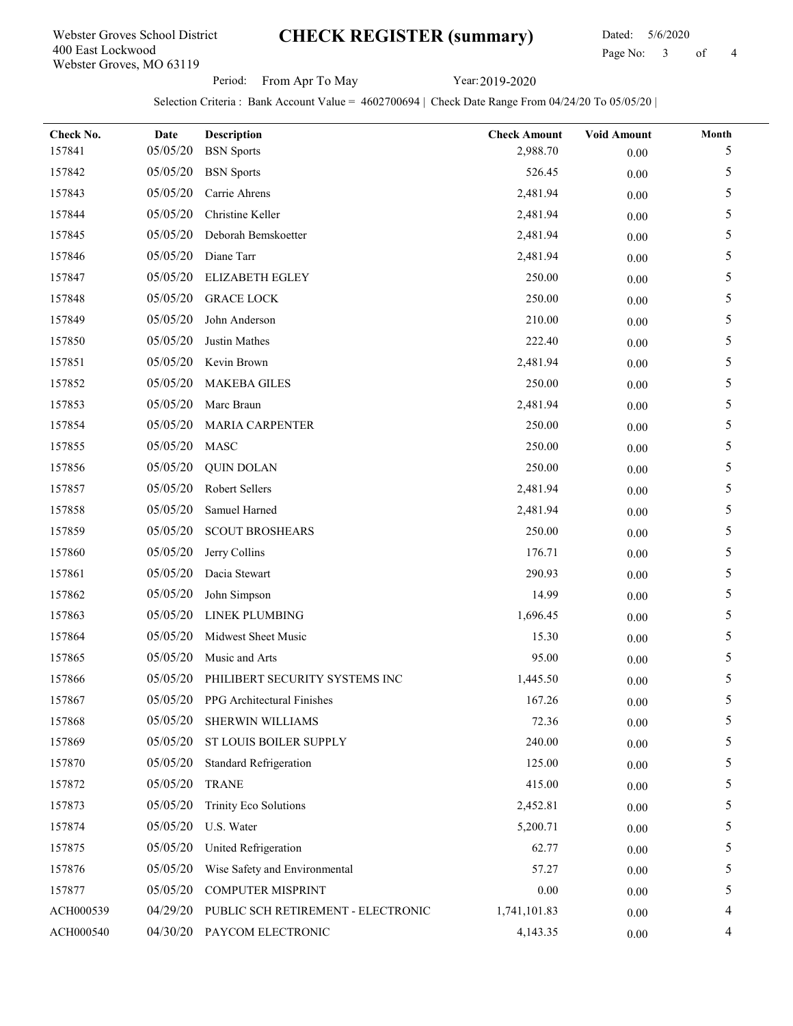## CHECK REGISTER (summary)

 Dated: 5/6/2020 Page No: 3 of

Period: From Apr To May Year: 2019-2020

| Check No. | Date<br>05/05/20 | Description                         | <b>Check Amount</b> | <b>Void Amount</b> | Month |
|-----------|------------------|-------------------------------------|---------------------|--------------------|-------|
| 157841    |                  | <b>BSN</b> Sports                   | 2,988.70            | 0.00               | 5     |
| 157842    | 05/05/20         | <b>BSN</b> Sports                   | 526.45              | 0.00               | 5     |
| 157843    | 05/05/20         | Carrie Ahrens                       | 2,481.94            | 0.00               | 5     |
| 157844    | 05/05/20         | Christine Keller                    | 2,481.94            | $0.00\,$           | 5     |
| 157845    | 05/05/20         | Deborah Bemskoetter                 | 2,481.94            | 0.00               | 5     |
| 157846    | 05/05/20         | Diane Tarr                          | 2,481.94            | $0.00\,$           | 5     |
| 157847    | 05/05/20         | <b>ELIZABETH EGLEY</b>              | 250.00              | 0.00               | 5     |
| 157848    | 05/05/20         | <b>GRACE LOCK</b>                   | 250.00              | 0.00               | 5     |
| 157849    | 05/05/20         | John Anderson                       | 210.00              | 0.00               | 5     |
| 157850    | 05/05/20         | Justin Mathes                       | 222.40              | 0.00               | 5     |
| 157851    | 05/05/20         | Kevin Brown                         | 2,481.94            | 0.00               | 5     |
| 157852    | 05/05/20         | <b>MAKEBA GILES</b>                 | 250.00              | 0.00               | 5     |
| 157853    | 05/05/20         | Marc Braun                          | 2,481.94            | 0.00               | 5     |
| 157854    | 05/05/20         | MARIA CARPENTER                     | 250.00              | 0.00               | 5     |
| 157855    | 05/05/20         | <b>MASC</b>                         | 250.00              | 0.00               | 5     |
| 157856    | 05/05/20         | <b>QUIN DOLAN</b>                   | 250.00              | 0.00               | 5     |
| 157857    | 05/05/20         | Robert Sellers                      | 2,481.94            | 0.00               | 5     |
| 157858    | 05/05/20         | Samuel Harned                       | 2,481.94            | 0.00               | 5     |
| 157859    | 05/05/20         | <b>SCOUT BROSHEARS</b>              | 250.00              | 0.00               | 5     |
| 157860    | 05/05/20         | Jerry Collins                       | 176.71              | $0.00\,$           | 5     |
| 157861    | 05/05/20         | Dacia Stewart                       | 290.93              | 0.00               | 5     |
| 157862    | 05/05/20         | John Simpson                        | 14.99               | 0.00               | 5     |
| 157863    | 05/05/20         | LINEK PLUMBING                      | 1,696.45            | 0.00               | 5     |
| 157864    | 05/05/20         | Midwest Sheet Music                 | 15.30               | 0.00               | 5     |
| 157865    | 05/05/20         | Music and Arts                      | 95.00               | 0.00               | 5     |
| 157866    | 05/05/20         | PHILIBERT SECURITY SYSTEMS INC      | 1,445.50            | 0.00               | 5     |
| 157867    |                  | 05/05/20 PPG Architectural Finishes | 167.26              | $0.00\,$           |       |
| 157868    | 05/05/20         | SHERWIN WILLIAMS                    | 72.36               | 0.00               | 5     |
| 157869    | 05/05/20         | ST LOUIS BOILER SUPPLY              | 240.00              | $0.00\,$           | 5     |
| 157870    | 05/05/20         | <b>Standard Refrigeration</b>       | 125.00              | 0.00               | 5     |
| 157872    | 05/05/20         | <b>TRANE</b>                        | 415.00              | 0.00               | 5     |
| 157873    | 05/05/20         | Trinity Eco Solutions               | 2,452.81            | 0.00               | 5     |
| 157874    | 05/05/20         | U.S. Water                          | 5,200.71            | 0.00               | 5     |
| 157875    | 05/05/20         | United Refrigeration                | 62.77               | 0.00               | 5     |
| 157876    | 05/05/20         | Wise Safety and Environmental       | 57.27               | 0.00               | 5     |
| 157877    | 05/05/20         | COMPUTER MISPRINT                   | 0.00                | 0.00               | 5     |
| ACH000539 | 04/29/20         | PUBLIC SCH RETIREMENT - ELECTRONIC  | 1,741,101.83        | 0.00               |       |
| ACH000540 | 04/30/20         | PAYCOM ELECTRONIC                   | 4,143.35            | $0.00\,$           | 4     |
|           |                  |                                     |                     |                    |       |